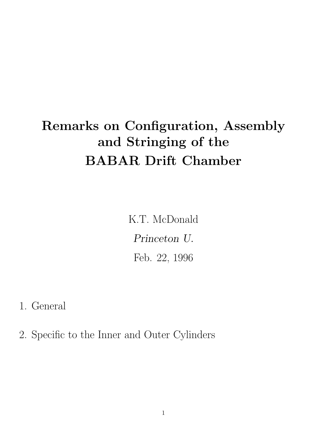# Remarks on Configuration, Assembly and Stringing of the BABAR Drift Chamber

K.T. McDonald Princeton U. Feb. 22, 1996

1. General

2. Specific to the Inner and Outer Cylinders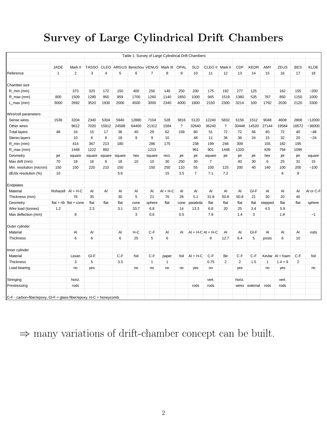# Survey of Large Cylindrical Drift Chambers

| Table 1. Survey of Large Cylindrical Drift Chambers                 |              |                |              |                |        |                      |                |              |          |                   |                |                |                |             |              |             |                |             |
|---------------------------------------------------------------------|--------------|----------------|--------------|----------------|--------|----------------------|----------------|--------------|----------|-------------------|----------------|----------------|----------------|-------------|--------------|-------------|----------------|-------------|
|                                                                     |              |                |              |                |        |                      |                |              |          |                   |                |                |                |             |              |             |                |             |
|                                                                     | <b>JADE</b>  | Mark II        | <b>TASSO</b> | <b>CLEO</b>    |        | ARGUS Benichou VENUS |                | Mark III     | OPAL     | <b>SLD</b>        | CLEO II        | Mark II        | CDF            | <b>KEDR</b> | AMY          | <b>ZEUS</b> | <b>BES</b>     | <b>KLOE</b> |
| Reference                                                           | $\mathbf{1}$ | $\overline{2}$ | 3            | $\overline{4}$ | 5      | 6                    | $\overline{7}$ | 8            | 9        | 10                | 11             | 12             | 13             | 14          | 15           | 16          | 17             | 18          |
|                                                                     |              |                |              |                |        |                      |                |              |          |                   |                |                |                |             |              |             |                |             |
| Chamber size                                                        |              |                |              |                |        |                      |                |              |          |                   |                |                |                |             |              |             |                |             |
| $R$ min (mm)                                                        |              | 373            | 320          | 172            | 150    | 400                  | 250            | 140          | 250      | 200               | 175            | 192            | 277            | 125         |              | 162         | 155            | $-200$      |
| R_max (mm)                                                          | 800          | 1509           | 1280         | 950            | 859    | 1700                 | 1260           | 1140         | 1850     | 1000              | 945            | 1519           | 1380           | 535         | 787          | 850         | 1150           | 1000        |
| $L_{max}(mm)$                                                       | 3000         | 2692           | 3520         | 1930           | 2000   | 4500                 | 3000           | 2340         | 4000     | 1800              | 2150           | 2300           | 3214           | 100         | 1792         | 2030        | 2120           | 3300        |
|                                                                     |              |                |              |                |        |                      |                |              |          |                   |                |                |                |             |              |             |                |             |
| Wire/cell parameters                                                |              |                |              |                |        |                      |                |              |          |                   |                |                |                |             |              |             |                |             |
| Sense wires                                                         | 1536         | 3204           | 2340         | 5304           | 5940   | 12880                | 7104           | 528          | 3816     | 5120              | 12240          | 5832           | 6156           | 1512        | 9048         | 4608        | 2808           | $-12000$    |
| Other wires                                                         |              | 9612           | 7020         | 15912          | 24588  | 64400                | 21312          | 1584         | $\gamma$ | 32640             | 36240          | $\overline{?}$ | 30448          | 14520       | 27144        | 19584       | 16572          | -36000      |
| <b>Total layers</b>                                                 | 48           | 16             | 15           | 17             | 36     | 40                   | 29             | 62           | 159      | 80                | 51             | 72             | 72             | 56          | 40           | 72          | 40             | $-48$       |
| Stereo layers                                                       |              | 10             | 6            | 8              | 18     | 9                    | 9              | 10           |          | 48                | 11             | 36             | 36             | 24          | 15           | 32          | 20             | $-24$       |
| R_min (mm)                                                          |              | 414            | 367          | 213            | 180    |                      | 286            | 175          |          | 238               | 199            | 246            | 309            |             | 155          | 182         | 195            |             |
| R_max (mm)                                                          |              | 1448           | 1222         | 892            |        |                      | 1213           |              |          | 961               | 901            | 1448           | 1320           |             | 639          | 794         | 1095           |             |
| Geometry                                                            | jet          | square         | square       | square         | square | hex                  | square         | rect.        | jet      | jet               | square         | jet            | jet            | jet         | hex          | jet         | jet            | square      |
| Max drift (mm)                                                      | 70           | 18             | 16           | 6              | 18     | 10                   | 10             | 30           | 250      | 30                | $\overline{7}$ |                | 40             | 30          | 6            | 25          | 31             | 15          |
| Min. resolution (micron)                                            | 150          | 150            | 220          | 210            | 150    |                      | 150            | 250          | 110      | 55                | 100            | 125            | 200            | 40          | 140          | 100         | 200            | $-100$      |
| dE/dx resolution (%)                                                | 10           |                |              |                | 5.6    |                      |                | 15           | 3.5      | $\overline{7}$    | 7.1            | 7.2            |                |             |              | 6           | 9              |             |
|                                                                     |              |                |              |                |        |                      |                |              |          |                   |                |                |                |             |              |             |                |             |
| Endplates                                                           |              |                |              |                |        |                      |                |              |          |                   |                |                |                |             |              |             |                |             |
| Material                                                            | Rohacell     | $AI + H-C$     | AI           | AI             | Al     | AI                   | Al             | $AI + H-C$   | AI       | AI                | AI             | AI             | AI             | GI-F        | AI           | Al          | AI             | Al or C-F   |
| Thickness (mm)                                                      |              | 76             | 35           |                | 30     | 5                    | 21             | 76           | 28       | 5.1               | 31.8           | 50.8           | 50.8           | 21          | 30           | 20          | 40             |             |
| Geometry                                                            | $flat + rib$ | flat + cone    | flat         | flat           | flat   | cone                 | sphere         | flat         | cone     | parabola          | flat           | flat           | flat           | flat        | stepped      | flat        | flat           | sphere      |
| Wire load (tonnes)                                                  | 1.2          |                | 2.3          |                | 3.1    | 33.7                 | 6.8            |              | 14       | 13.3              | 6.8            | 20             | 25             | 3.4         | 4.5          | 5.9         |                |             |
| Max deflection (mm)                                                 |              | 8              |              |                |        | 3                    | 0.6            |              | 0.5      |                   | 7.9            |                | 1.4            | 3           |              | 1.8         |                | $-1$        |
|                                                                     |              |                |              |                |        |                      |                |              |          |                   |                |                |                |             |              |             |                |             |
| Outer cylinder                                                      |              |                |              |                |        |                      |                |              |          |                   |                |                |                |             |              |             |                |             |
| Material                                                            |              | Al             | Al           |                | Al     | H-C                  | $C-F$          | AI           | AI       | $AI + H-CA + H-C$ |                | Al             | Al             | GI-F        | Al           | Al          | Al             | rods        |
| <b>Thickness</b>                                                    |              | 6              | 6            |                | 6      | 25                   | 5              | 6            |          |                   | 8              | 12.7           | 6.4            | 5           | posts        | 6           | 10             |             |
|                                                                     |              |                |              |                |        |                      |                |              |          |                   |                |                |                |             |              |             |                |             |
| Inner cylinder                                                      |              |                |              |                |        |                      |                |              |          |                   |                |                |                |             |              |             |                |             |
| Material                                                            |              | Lexan          | GI-F         |                | $C-F$  | foil                 | $C-F$          | paper        | foil     | $AI + H-C$        | $C-F$          | Be             | $C-F$          | $C-F$       | Kevlar       | $Al + foar$ | $C-F$          | foil        |
| Thickness                                                           |              | 3              | 5            |                | 3.3    |                      | $\mathbf{1}$   | $\mathbf{1}$ |          |                   | 0.75           | 2              | $\overline{c}$ | 1.5         | $\mathbf{1}$ | $1.4 + 9$   | $\overline{2}$ |             |
| Load bearing                                                        |              | no             | yes          |                |        | no                   | no             | no           | no       | yes               | no             |                | yes            |             | no           | yes         |                | no          |
|                                                                     |              |                |              |                |        |                      |                |              |          |                   |                |                |                |             |              |             |                |             |
| Stringing                                                           |              | horiz.         |              |                |        |                      |                |              |          |                   | vert.          |                | horiz.         |             |              | vert.       |                |             |
| Prestressing                                                        |              | rods           |              |                |        |                      |                |              |          | rods              | rods           |                | wires          | external    | rods         | rods        |                |             |
|                                                                     |              |                |              |                |        |                      |                |              |          |                   |                |                |                |             |              |             |                |             |
| C-F - carbon-fiber/epoxy, GI-F = glass-fiber/epoxy, H-C = honeycomb |              |                |              |                |        |                      |                |              |          |                   |                |                |                |             |              |             |                |             |

 $\Rightarrow$  many variations of drift-chamber concept can be built.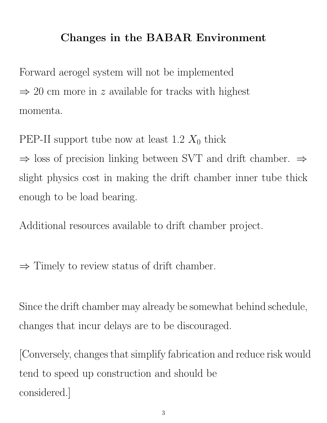# Changes in the BABAR Environment

Forward aerogel system will not be implemented  $\Rightarrow$  20 cm more in z available for tracks with highest momenta.

PEP-II support tube now at least 1.2  $X_0$  thick  $\Rightarrow$  loss of precision linking between SVT and drift chamber.  $\Rightarrow$ slight physics cost in making the drift chamber inner tube thick enough to be load bearing.

Additional resources available to drift chamber project.

 $\Rightarrow$  Timely to review status of drift chamber.

Since the drift chamber may already be somewhat behind schedule, changes that incur delays are to be discouraged.

[Conversely, changes that simplify fabrication and reduce risk would tend to speed up construction and should be considered.]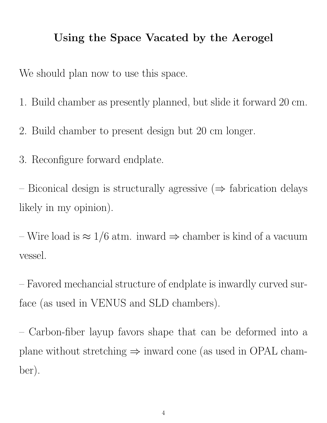### Using the Space Vacated by the Aerogel

We should plan now to use this space.

- 1. Build chamber as presently planned, but slide it forward 20 cm.
- 2. Build chamber to present design but 20 cm longer.
- 3. Reconfigure forward endplate.

– Biconical design is structurally agressive  $(\Rightarrow$  fabrication delays likely in my opinion).

– Wire load is  $\approx 1/6$  atm. inward  $\Rightarrow$  chamber is kind of a vacuum vessel.

– Favored mechancial structure of endplate is inwardly curved surface (as used in VENUS and SLD chambers).

– Carbon-fiber layup favors shape that can be deformed into a plane without stretching  $\Rightarrow$  inward cone (as used in OPAL chamber).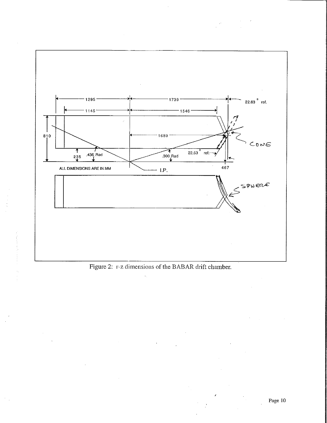

 $\sim$   $\sim$ 

 $\mathcal{L}$ 

Figure 2: r-z dimensions of the BABAR drift chamber.

 $\hat{\mathbf{z}}_1$ 

 $\mathcal{F}_{\mathcal{A}}$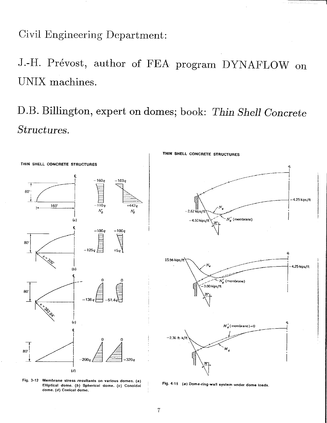Civil Engineering Department:

J.-H. Prévost, author of FEA program DYNAFLOW on UNIX machines.

D.B. Billington, expert on domes; book: Thin Shell Concrete Structures.



Fig. 3-12 Membrane stress resultants on various domes. (a) Elliptical dome. (b) Spherical dome. (c) Conoidal dome. (d) Conical dome.

Fig. 4-15 (a) Dome-ring-wall system under dome loads.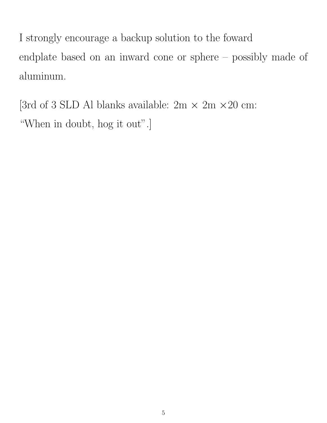I strongly encourage a backup solution to the foward endplate based on an inward cone or sphere – possibly made of aluminum.

[3rd of 3 SLD Al blanks available:  $2m \times 2m \times 20$  cm: "When in doubt, hog it out".]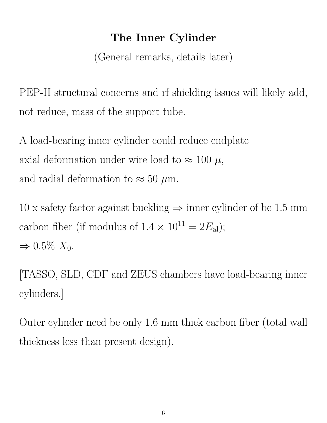# The Inner Cylinder

(General remarks, details later)

PEP-II structural concerns and rf shielding issues will likely add, not reduce, mass of the support tube.

A load-bearing inner cylinder could reduce endplate axial deformation under wire load to  $\approx 100 \mu$ , and radial deformation to  $\approx 50 \ \mu \text{m}$ .

 $10 \times$  safety factor against buckling  $\Rightarrow$  inner cylinder of be 1.5 mm carbon fiber (if modulus of  $1.4 \times 10^{11} = 2E_{\text{al}}$ );  $\Rightarrow 0.5\% X_0$ .

[TASSO, SLD, CDF and ZEUS chambers have load-bearing inner cylinders.]

Outer cylinder need be only 1.6 mm thick carbon fiber (total wall thickness less than present design).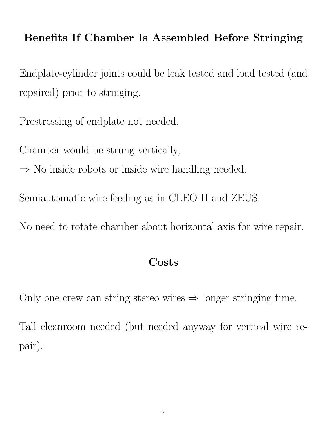### Benefits If Chamber Is Assembled Before Stringing

Endplate-cylinder joints could be leak tested and load tested (and repaired) prior to stringing.

Prestressing of endplate not needed.

Chamber would be strung vertically,

 $\Rightarrow$  No inside robots or inside wire handling needed.

Semiautomatic wire feeding as in CLEO II and ZEUS.

No need to rotate chamber about horizontal axis for wire repair.

### **Costs**

Only one crew can string stereo wires  $\Rightarrow$  longer stringing time.

Tall cleanroom needed (but needed anyway for vertical wire repair).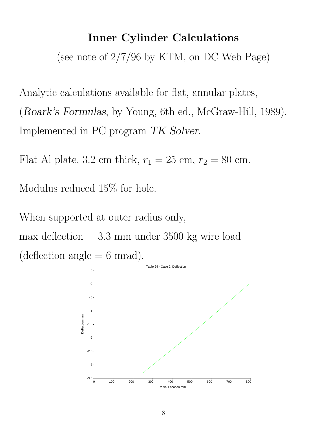#### Inner Cylinder Calculations

(see note of 2/7/96 by KTM, on DC Web Page)

Analytic calculations available for flat, annular plates, (Roark's Formulas, by Young, 6th ed., McGraw-Hill, 1989). Implemented in PC program TK Solver.

Flat Al plate, 3.2 cm thick,  $r_1 = 25$  cm,  $r_2 = 80$  cm.

Modulus reduced 15% for hole.

When supported at outer radius only,  $max$  deflection  $= 3.3$  mm under 3500 kg wire load  $(deflection angle = 6 mrad).$ 

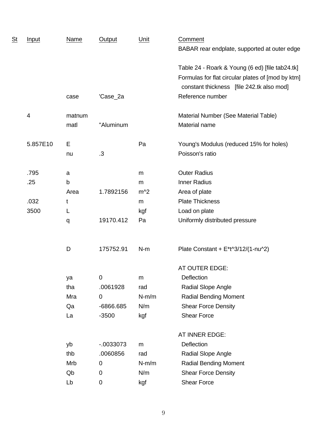| $\frac{\mathsf{St}}{\ }$ | Input    | <b>Name</b> | <b>Output</b> | Unit    | Comment<br>BABAR rear endplate, supported at outer edge                                                                                           |
|--------------------------|----------|-------------|---------------|---------|---------------------------------------------------------------------------------------------------------------------------------------------------|
|                          |          |             |               |         | Table 24 - Roark & Young (6 ed) [file tab24.tk]<br>Formulas for flat circular plates of [mod by ktm]<br>constant thickness [file 242.tk also mod] |
|                          |          | case        | 'Case_2a      |         | Reference number                                                                                                                                  |
|                          | 4        | matnum      |               |         | Material Number (See Material Table)                                                                                                              |
|                          |          | matl        | "Aluminum     |         | Material name                                                                                                                                     |
|                          | 5.857E10 | E           |               | Pa      | Young's Modulus (reduced 15% for holes)                                                                                                           |
|                          |          | nu          | .3            |         | Poisson's ratio                                                                                                                                   |
|                          | .795     | a           |               | m       | <b>Outer Radius</b>                                                                                                                               |
|                          | .25      | $\sf b$     |               | m       | <b>Inner Radius</b>                                                                                                                               |
|                          |          | Area        | 1.7892156     | $m^2$   | Area of plate                                                                                                                                     |
|                          | .032     | t           |               | m       | <b>Plate Thickness</b>                                                                                                                            |
|                          | 3500     | L           |               | kgf     | Load on plate                                                                                                                                     |
|                          |          | q           | 19170.412     | Pa      | Uniformly distributed pressure                                                                                                                    |
|                          |          | D           | 175752.91     | $N-m$   | Plate Constant + $E^{\ast}$ t $\frac{3}{12}$ (1-nu $\frac{2}{2}$ )                                                                                |
|                          |          |             |               |         | AT OUTER EDGE:                                                                                                                                    |
|                          |          | ya          | $\mathbf 0$   | m       | Deflection                                                                                                                                        |
|                          |          | tha         | .0061928      | rad     | Radial Slope Angle                                                                                                                                |
|                          |          | Mra         | $\mathbf 0$   | $N-m/m$ | <b>Radial Bending Moment</b>                                                                                                                      |
|                          |          | Qa          | -6866.685     | N/m     | <b>Shear Force Density</b>                                                                                                                        |
|                          |          | La          | $-3500$       | kgf     | <b>Shear Force</b>                                                                                                                                |
|                          |          |             |               |         | AT INNER EDGE:                                                                                                                                    |
|                          |          | yb          | $-0.0033073$  | m       | Deflection                                                                                                                                        |
|                          |          | thb         | .0060856      | rad     | Radial Slope Angle                                                                                                                                |
|                          |          | Mrb         | $\mathbf 0$   | $N-m/m$ | <b>Radial Bending Moment</b>                                                                                                                      |
|                          |          | Qb          | 0             | N/m     | <b>Shear Force Density</b>                                                                                                                        |
|                          |          | Lb          | 0             | kgf     | <b>Shear Force</b>                                                                                                                                |
|                          |          |             |               |         |                                                                                                                                                   |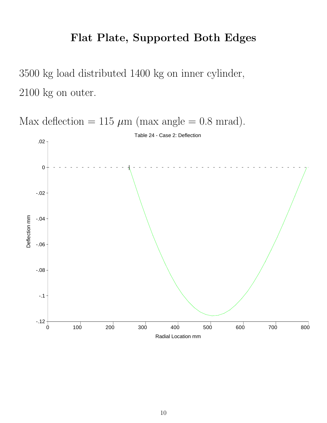### Flat Plate, Supported Both Edges

3500 kg load distributed 1400 kg on inner cylinder, 2100 kg on outer.

Max deflection = 115  $\mu$ m (max angle = 0.8 mrad). Table 24 - Case 2: Deflection .02 0 | -.02 Deflection mm Deflection mm -.04 -.06 -.08 -.1  $-12 +$ <br>0 0 100 200 300 400 500 600 700 800 Radial Location mm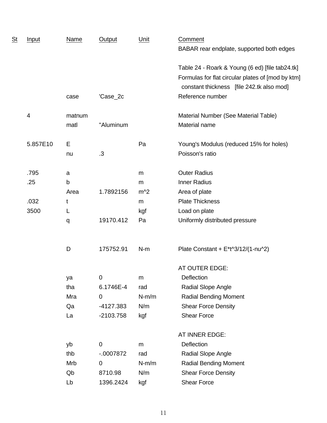| $\mathsf{\underline{St}}$ | <b>Input</b> | <b>Name</b> | <b>Output</b> | Unit    | Comment<br>BABAR rear endplate, supported both edges                                                                                              |
|---------------------------|--------------|-------------|---------------|---------|---------------------------------------------------------------------------------------------------------------------------------------------------|
|                           |              |             |               |         | Table 24 - Roark & Young (6 ed) [file tab24.tk]<br>Formulas for flat circular plates of [mod by ktm]<br>constant thickness [file 242.tk also mod] |
|                           |              | case        | 'Case_2c      |         | Reference number                                                                                                                                  |
|                           | 4            | matnum      |               |         | Material Number (See Material Table)                                                                                                              |
|                           |              | matl        | "Aluminum     |         | Material name                                                                                                                                     |
|                           | 5.857E10     | E           |               | Pa      | Young's Modulus (reduced 15% for holes)                                                                                                           |
|                           |              | nu          | .3            |         | Poisson's ratio                                                                                                                                   |
|                           | .795         | a           |               | m       | <b>Outer Radius</b>                                                                                                                               |
|                           | .25          | b           |               | m       | <b>Inner Radius</b>                                                                                                                               |
|                           |              | Area        | 1.7892156     | $m^2$   | Area of plate                                                                                                                                     |
|                           | .032         | t           |               | m       | <b>Plate Thickness</b>                                                                                                                            |
|                           | 3500         | L           |               | kgf     | Load on plate                                                                                                                                     |
|                           |              | q           | 19170.412     | Pa      | Uniformly distributed pressure                                                                                                                    |
|                           |              | D           | 175752.91     | $N-m$   | Plate Constant + $E^{\ast}$ t $\frac{3}{12}$ (1-nu $\frac{2}{2}$ )                                                                                |
|                           |              |             |               |         | AT OUTER EDGE:                                                                                                                                    |
|                           |              | ya          | 0             | m       | Deflection                                                                                                                                        |
|                           |              | tha         | 6.1746E-4     | rad     | Radial Slope Angle                                                                                                                                |
|                           |              | Mra         | $\mathbf 0$   | $N-m/m$ | <b>Radial Bending Moment</b>                                                                                                                      |
|                           |              | Qa          | -4127.383     | N/m     | <b>Shear Force Density</b>                                                                                                                        |
|                           |              | La          | $-2103.758$   | kgf     | <b>Shear Force</b>                                                                                                                                |
|                           |              |             |               |         | AT INNER EDGE:                                                                                                                                    |
|                           |              | yb          | $\mathbf 0$   | m       | Deflection                                                                                                                                        |
|                           |              | thb         | $-.0007872$   | rad     | Radial Slope Angle                                                                                                                                |
|                           |              | Mrb         | 0             | $N-m/m$ | <b>Radial Bending Moment</b>                                                                                                                      |
|                           |              | Qb          | 8710.98       | N/m     | <b>Shear Force Density</b>                                                                                                                        |
|                           |              | Lb          | 1396.2424     | kgf     | <b>Shear Force</b>                                                                                                                                |
|                           |              |             |               |         |                                                                                                                                                   |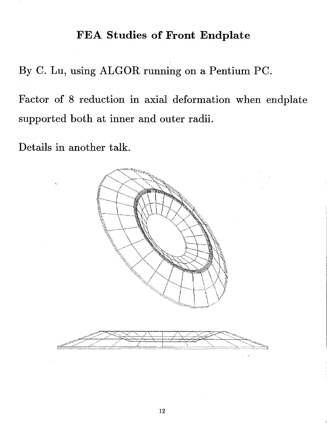### FEA Studies of Front Endplate

By C. Lu, using ALGOR running on a Pentium PC.

Factor of 8 reduction in axial deformation when endplate supported both at inner and outer radii.

Details in another talk.

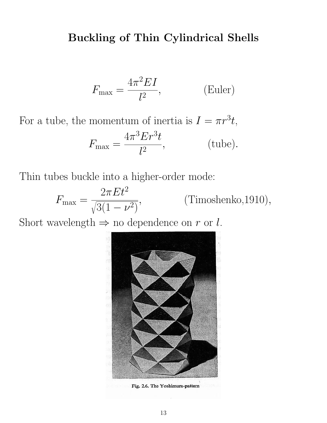### Buckling of Thin Cylindrical Shells

$$
F_{\text{max}} = \frac{4\pi^2 EI}{l^2},\tag{Euler}
$$

For a tube, the momentum of inertia is  $I = \pi r^3 t$ ,

$$
F_{\text{max}} = \frac{4\pi^3 E r^3 t}{l^2}, \qquad \text{(tube)}.
$$

Thin tubes buckle into a higher-order mode:

 $F_{\text{max}} =$  $2\pi E t^2$ r  $3(1-\nu^2)$ , (Timoshenko,1910),

Short wavelength  $\Rightarrow$  no dependence on r or l.



Fig. 2.6. The Yoshimura-pattern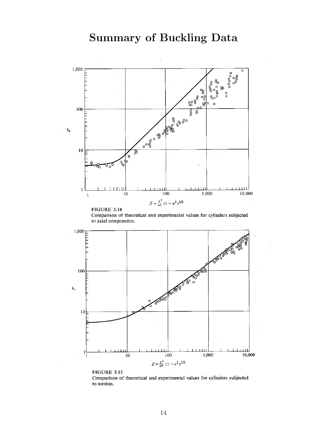

Comparison of theoretical and experimental values for cylinders subjected to axial compression.



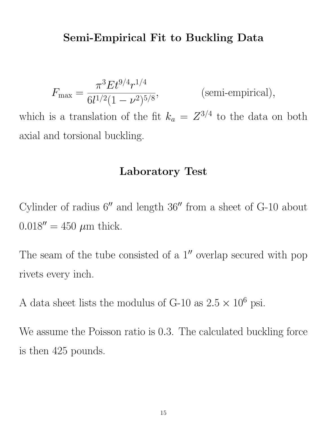#### Semi-Empirical Fit to Buckling Data

$$
F_{\text{max}} = \frac{\pi^3 E t^{9/4} r^{1/4}}{6l^{1/2} (1 - \nu^2)^{5/8}},
$$
 (semi-empirical),

which is a translation of the fit  $k_a = Z^{3/4}$  to the data on both axial and torsional buckling.

#### Laboratory Test

Cylinder of radius  $6''$  and length  $36''$  from a sheet of G-10 about  $0.018'' = 450 \mu m$  thick.

The seam of the tube consisted of a  $1''$  overlap secured with pop rivets every inch.

A data sheet lists the modulus of G-10 as  $2.5 \times 10^6$  psi.

We assume the Poisson ratio is 0.3. The calculated buckling force is then 425 pounds.